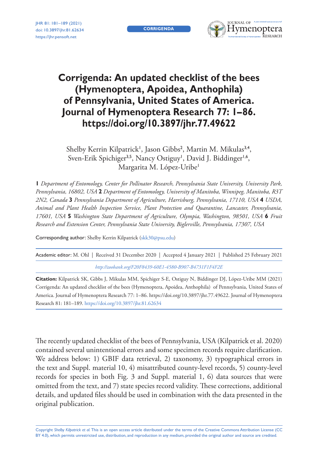**CORRIGENDA**



# **Corrigenda: An updated checklist of the bees (Hymenoptera, Apoidea, Anthophila) of Pennsylvania, United States of America. Journal of Hymenoptera Research 77: 1–86. <https://doi.org/10.3897/jhr.77.49622>**

Shelby Kerrin Kilpatrick<sup>1</sup>, Jason Gibbs<sup>2</sup>, Martin M. Mikulas<sup>3,4</sup>, Sven-Erik Spichiger<sup>3,5</sup>, Nancy Ostiguy<sup>1</sup>, David J. Biddinger<sup>1,6</sup>, Margarita M. López-Uribe<sup>1</sup>

**1** *Department of Entomology, Center for Pollinator Research, Pennsylvania State University, University Park, Pennsylvania, 16802, USA* **2** *Department of Entomology, University of Manitoba, Winnipeg, Manitoba, R3T 2N2, Canada* **3** *Pennsylvania Department of Agriculture, Harrisburg, Pennsylvania, 17110, USA* **4** *USDA, Animal and Plant Health Inspection Service, Plant Protection and Quarantine, Lancaster, Pennsylvania, 17601, USA* **5** *Washington State Department of Agriculture, Olympia, Washington, 98501, USA* **6** *Fruit Research and Extension Center, Pennsylvania State University, Biglerville, Pennsylvania, 17307, USA*

Corresponding author: Shelby Kerrin Kilpatrick ([skk30@psu.edu\)](mailto:skk30@psu.edu)

Academic editor: M. Ohl | Received 31 December 2020 | Accepted 4 January 2021 | Published 25 February 2021 *<http://zoobank.org/F20F8439-60E1-4580-B907-B4731F1F4F2E>*

**Citation:** Kilpatrick SK, Gibbs J, Mikulas MM, Spichiger S-E, Ostiguy N, Biddinger DJ, López-Uribe MM (2021) Corrigenda: An updated checklist of the bees (Hymenoptera, Apoidea, Anthophila) of Pennsylvania, United States of America. Journal of Hymenoptera Research 77: 1–86. <https://doi.org/10.3897/jhr.77.49622>. Journal of Hymenoptera Research 81: 181–189.<https://doi.org/10.3897/jhr.81.62634>

The recently updated checklist of the bees of Pennsylvania, USA (Kilpatrick et al. 2020) contained several unintentional errors and some specimen records require clarification. We address below: 1) GBIF data retrieval, 2) taxonomy, 3) typographical errors in the text and Suppl. material 10, 4) misattributed county-level records, 5) county-level records for species in both Fig. 3 and Suppl. material 1, 6) data sources that were omitted from the text, and 7) state species record validity. These corrections, additional details, and updated files should be used in combination with the data presented in the original publication.

Copyright *Shelby Kilpatrick et al.* This is an open access article distributed under the terms of the [Creative Commons Attribution License \(CC](http://creativecommons.org/licenses/by/4.0/)  [BY 4.0\)](http://creativecommons.org/licenses/by/4.0/), which permits unrestricted use, distribution, and reproduction in any medium, provided the original author and source are credited.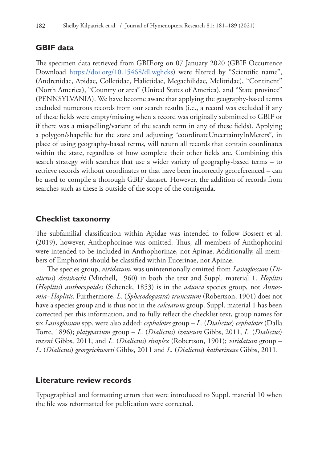#### **GBIF data**

The specimen data retrieved from GBIF.org on 07 January 2020 (GBIF Occurrence Download [https://doi.org/10.15468/dl.wghcks\)](https://doi.org/10.15468/dl.wghcks) were filtered by "Scientific name", (Andrenidae, Apidae, Colletidae, Halictidae, Megachilidae, Melittidae), "Continent" (North America), "Country or area" (United States of America), and "State province" (PENNSYLVANIA). We have become aware that applying the geography-based terms excluded numerous records from our search results (i.e., a record was excluded if any of these fields were empty/missing when a record was originally submitted to GBIF or if there was a misspelling/variant of the search term in any of these fields). Applying a polygon/shapefile for the state and adjusting "coordinateUncertaintyInMeters", in place of using geography-based terms, will return all records that contain coordinates within the state, regardless of how complete their other fields are. Combining this search strategy with searches that use a wider variety of geography-based terms – to retrieve records without coordinates or that have been incorrectly georeferenced – can be used to compile a thorough GBIF dataset. However, the addition of records from searches such as these is outside of the scope of the corrigenda.

#### **Checklist taxonomy**

The subfamilial classification within Apidae was intended to follow Bossert et al. (2019), however, Anthophorinae was omitted. Thus, all members of Anthophorini were intended to be included in Anthophorinae, not Apinae. Additionally, all members of Emphorini should be classified within Eucerinae, not Apinae.

The species group, *viridatum*, was unintentionally omitted from *Lasioglossum* (*Dialictus*) *dreisbachi* (Mitchell, 1960) in both the text and Suppl. material 1. *Hoplitis* (*Hoplitis*) *anthocopoides* (Schenck, 1853) is in the *adunca* species group, not *Annosmia−Hoplitis*. Furthermore, *L.* (*Sphecodogastra*) *truncatum* (Robertson, 1901) does not have a species group and is thus not in the *calceatum* group. Suppl. material 1 has been corrected per this information, and to fully reflect the checklist text, group names for six *Lasioglossum* spp. were also added: *cephalotes* group – *L.* (*Dialictus*) *cephalotes* (Dalla Torre, 1896); *platyparium* group – *L.* (*Dialictus*) *izawsum* Gibbs, 2011, *L.* (*Dialictus*) *rozeni* Gibbs, 2011, and *L.* (*Dialictus*) *simplex* (Robertson, 1901); *viridatum* group – *L.* (*Dialictus*) *georgeickworti* Gibbs, 2011 and *L.* (*Dialictus*) *katherineae* Gibbs, 2011.

#### **Literature review records**

Typographical and formatting errors that were introduced to Suppl. material 10 when the file was reformatted for publication were corrected.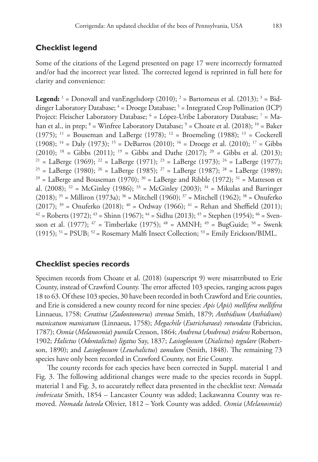## **Checklist legend**

Some of the citations of the Legend presented on page 17 were incorrectly formatted and/or had the incorrect year listed. The corrected legend is reprinted in full here for clarity and convenience:

**Legend:**  $^1$  = Donovall and vanEngelsdorp (2010);  $^2$  = Bartomeus et al. (2013);  $^3$  = Biddinger Laboratory Database; <sup>4</sup> = Droege Database; <sup>5</sup> = Integrated Crop Pollination (ICP) Project: Fleischer Laboratory Database; <sup>6</sup> = López-Uribe Laboratory Database; <sup>7</sup> = Mahan et al., in prep; <sup>8</sup> = Winfree Laboratory Database; <sup>9</sup> = Choate et al. (2018); <sup>10</sup> = Baker (1975); <sup>11</sup> = Bouseman and LaBerge (1978); <sup>12</sup> = Broemeling (1988); <sup>13</sup> = Cockerell (1908); <sup>14</sup> = Daly (1973); <sup>15</sup> = DeBarros (2010); <sup>16</sup> = Droege et al. (2010); <sup>17</sup> = Gibbs (2010); <sup>18</sup> = Gibbs (2011); <sup>19</sup> = Gibbs and Dathe (2017); <sup>20</sup> = Gibbs et al. (2013); <sup>21</sup> = LaBerge (1969); <sup>22</sup> = LaBerge (1971); <sup>23</sup> = LaBerge (1973); <sup>24</sup> = LaBerge (1977); <sup>25</sup> = LaBerge (1980); <sup>26</sup> = LaBerge (1989); <sup>27</sup> = LaBerge (1987); <sup>28</sup> = LaBerge (1989); <sup>29</sup> = LaBerge and Bouseman (1970); <sup>30</sup> = LaBerge and Ribble (1972); <sup>31</sup> = Matteson et al. (2008);  $32 = \text{McGinley (1986)}$ ;  $33 = \text{McGinley (2003)}$ ;  $34 = \text{Mikulas and Barringer}$  $(2018);$   $35 =$  Milliron  $(1973a);$   $36 =$  Mitchell  $(1960);$   $37 =$  Mitchell  $(1962);$   $38 =$  Onuferko (2017);  $39 =$  Onuferko (2018);  $40 =$  Ordway (1966);  $41 =$  Rehan and Sheffield (2011);  $42$  = Roberts (1972);  $43$  = Shinn (1967);  $44$  = Sidhu (2013);  $45$  = Stephen (1954);  $46$  = Svensson et al. (1977);  $47 =$ Timberlake (1975);  $48 =$ AMNH;  $49 =$ BugGuide;  $50 =$ Swenk (1915);  $51 =$  PSUB;  $52 =$  Rosemary Malfi Insect Collection;  $53 =$  Emily Erickson/BIML.

#### **Checklist species records**

Specimen records from Choate et al. (2018) (superscript 9) were misattributed to Erie County, instead of Crawford County. The error affected 103 species, ranging across pages 18 to 63. Of these 103 species, 30 have been recorded in both Crawford and Erie counties, and Erie is considered a new county record for nine species: *Apis* (*Apis*) *mellifera mellifera* Linnaeus, 1758; *Ceratina* (*Zadontomerus*) *strenua* Smith, 1879; *Anthidium* (*Anthidium*) *manicatum manicatum* (Linnaeus, 1758); *Megachile* (*Eutricharaea*) *rotundata* (Fabricius, 1787); *Osmia* (*Melanosmia*) *pumila* Cresson, 1864; *Andrena* (*Andrena*) *tridens* Robertson, 1902; *Halictus* (*Odontalictus*) *ligatus* Say, 1837; *Lasioglossum* (*Dialictus*) *tegulare* (Robertson, 1890); and *Lasioglossum* (*Leuchalictus*) *zonulum* (Smith, 1848). The remaining 73 species have only been recorded in Crawford County, not Erie County.

The county records for each species have been corrected in Suppl. material 1 and Fig. 3. The following additional changes were made to the species records in Suppl. material 1 and Fig. 3, to accurately reflect data presented in the checklist text: *Nomada imbricata* Smith, 1854 – Lancaster County was added; Lackawanna County was removed. *Nomada luteola* Olivier, 1812 – York County was added. *Osmia* (*Melanosmia*)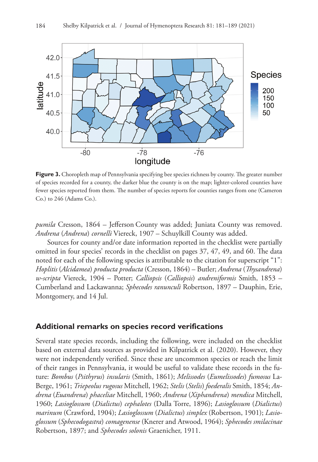

**Figure 3.** Choropleth map of Pennsylvania specifying bee species richness by county. The greater number of species recorded for a county, the darker blue the county is on the map; lighter-colored counties have fewer species reported from them. The number of species reports for counties ranges from one (Cameron Co.) to 246 (Adams Co.).

*pumila* Cresson, 1864 – Jefferson County was added; Juniata County was removed. *Andrena* (*Andrena*) *cornelli* Viereck, 1907 – Schuylkill County was added.

Sources for county and/or date information reported in the checklist were partially omitted in four species' records in the checklist on pages 37, 47, 49, and 60. The data noted for each of the following species is attributable to the citation for superscript "1": *Hoplitis* (*Alcidamea*) *producta producta* (Cresson, 1864) – Butler; *Andrena* (*Thysandrena*) *w-scripta* Viereck, 1904 – Potter; *Calliopsis* (*Calliopsis*) *andreniformis* Smith, 1853 – Cumberland and Lackawanna; *Sphecodes ranunculi* Robertson, 1897 – Dauphin, Erie, Montgomery, and 14 Jul.

#### **Additional remarks on species record verifications**

Several state species records, including the following, were included on the checklist based on external data sources as provided in Kilpatrick et al. (2020). However, they were not independently verified. Since these are uncommon species or reach the limit of their ranges in Pennsylvania, it would be useful to validate these records in the future: *Bombus* (*Psithyrus*) *insularis* (Smith, 1861); *Melissodes* (*Eumelissodes*) *fumosus* La-Berge, 1961; *Triepeolus rugosus* Mitchell, 1962; *Stelis* (*Stelis*) *foederalis* Smith, 1854; *Andrena* (*Euandrena*) *phaceliae* Mitchell, 1960; *Andrena* (*Xiphandrena*) *mendica* Mitchell, 1960; *Lasioglossum* (*Dialictus*) *cephalotes* (Dalla Torre, 1896); *Lasioglossum* (*Dialictus*) *marinum* (Crawford, 1904); *Lasioglossum* (*Dialictus*) *simplex* (Robertson, 1901); *Lasioglossum* (*Sphecodogastra*) *comagenense* (Knerer and Atwood, 1964); *Sphecodes smilacinae* Robertson, 1897; and *Sphecodes solonis* Graenicher, 1911.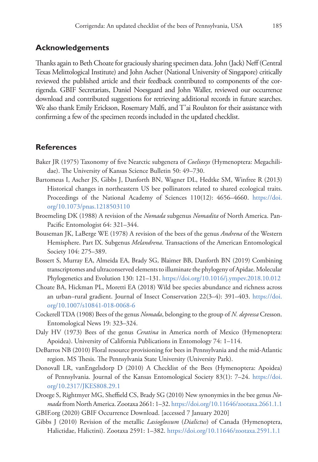#### **Acknowledgements**

Thanks again to Beth Choate for graciously sharing specimen data. John (Jack) Neff (Central Texas Melittological Institute) and John Ascher (National University of Singapore) critically reviewed the published article and their feedback contributed to components of the corrigenda. GBIF Secretariats, Daniel Noesgaard and John Waller, reviewed our occurrence download and contributed suggestions for retrieving additional records in future searches. We also thank Emily Erickson, Rosemary Malfi, and T'ai Roulston for their assistance with confirming a few of the specimen records included in the updated checklist.

#### **References**

- Baker JR (1975) Taxonomy of five Nearctic subgenera of *Coelioxys* (Hymenoptera: Megachilidae). The University of Kansas Science Bulletin 50: 49–730.
- Bartomeus I, Ascher JS, Gibbs J, Danforth BN, Wagner DL, Hedtke SM, Winfree R (2013) Historical changes in northeastern US bee pollinators related to shared ecological traits. Proceedings of the National Academy of Sciences 110(12): 4656–4660. [https://doi.](https://doi.org/10.1073/pnas.1218503110) [org/10.1073/pnas.1218503110](https://doi.org/10.1073/pnas.1218503110)
- Broemeling DK (1988) A revision of the *Nomada* subgenus *Nomadita* of North America. Pan-Pacific Entomologist 64: 321–344.
- Bouseman JK, LaBerge WE (1978) A revision of the bees of the genus *Andrena* of the Western Hemisphere. Part IX. Subgenus *Melandrena*. Transactions of the American Entomological Society 104: 275–389.
- Bossert S, Murray EA, Almeida EA, Brady SG, Blaimer BB, Danforth BN (2019) Combining transcriptomes and ultraconserved elements to illuminate the phylogeny of Apidae. Molecular Phylogenetics and Evolution 130: 121–131. <https://doi.org/10.1016/j.ympev.2018.10.012>
- Choate BA, Hickman PL, Moretti EA (2018) Wild bee species abundance and richness across an urban–rural gradient. Journal of Insect Conservation 22(3–4): 391–403. [https://doi.](https://doi.org/10.1007/s10841-018-0068-6) [org/10.1007/s10841-018-0068-6](https://doi.org/10.1007/s10841-018-0068-6)
- Cockerell TDA (1908) Bees of the genus *Nomada*, belonging to the group of *N. depressa* Cresson. Entomological News 19: 323–324.
- Daly HV (1973) Bees of the genus *Ceratina* in America north of Mexico (Hymenoptera: Apoidea). University of California Publications in Entomology 74: 1–114.
- DeBarros NB (2010) Floral resource provisioning for bees in Pennsylvania and the mid-Atlantic region. MS Thesis. The Pennsylvania State University (University Park).
- Donovall LR, vanEngelsdorp D (2010) A Checklist of the Bees (Hymenoptera: Apoidea) of Pennsylvania. Journal of the Kansas Entomological Society 83(1): 7–24. [https://doi.](https://doi.org/10.2317/JKES808.29.1) [org/10.2317/JKES808.29.1](https://doi.org/10.2317/JKES808.29.1)
- Droege S, Rightmyer MG, Sheffield CS, Brady SG (2010) New synonymies in the bee genus *Nomada* from North America. Zootaxa 2661: 1–32.<https://doi.org/10.11646/zootaxa.2661.1.1>

GBIF.org (2020) GBIF Occurrence Download. [accessed 7 January 2020]

Gibbs J (2010) Revision of the metallic *Lasioglossum* (*Dialictus*) of Canada (Hymenoptera, Halictidae, Halictini). Zootaxa 2591: 1–382. <https://doi.org/10.11646/zootaxa.2591.1.1>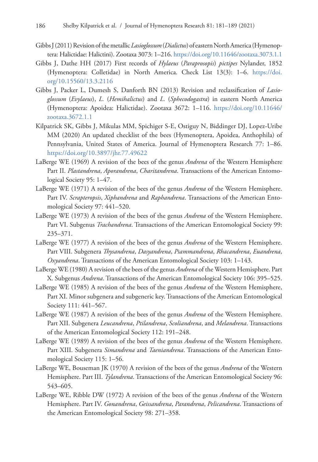- Gibbs J (2011) Revision of the metallic *Lasioglossum* (*Dialictus*) of eastern North America (Hymenoptera: Halictidae: Halictini). Zootaxa 3073: 1–216.<https://doi.org/10.11646/zootaxa.3073.1.1>
- Gibbs J, Dathe HH (2017) First records of *Hylaeus* (*Paraprosopis*) *pictipes* Nylander, 1852 (Hymenoptera: Colletidae) in North America. Check List 13(3): 1–6. [https://doi.](https://doi.org/10.15560/13.3.2116) [org/10.15560/13.3.2116](https://doi.org/10.15560/13.3.2116)
- Gibbs J, Packer L, Dumesh S, Danforth BN (2013) Revision and reclassification of *Lasioglossum* (*Evylaeus*), *L.* (*Hemihalictus*) and *L.* (*Sphecodogastra*) in eastern North America (Hymenoptera: Apoidea: Halictidae). Zootaxa 3672: 1–116. [https://doi.org/10.11646/](https://doi.org/10.11646/zootaxa.3672.1.1) [zootaxa.3672.1.1](https://doi.org/10.11646/zootaxa.3672.1.1)
- Kilpatrick SK, Gibbs J, Mikulas MM, Spichiger S-E, Ostiguy N, Biddinger DJ, Lopez-Uribe MM (2020) An updated checklist of the bees (Hymenoptera, Apoidea, Anthophila) of Pennsylvania, United States of America. Journal of Hymenoptera Research 77: 1–86. <https://doi.org/10.3897/jhr.77.49622>
- LaBerge WE (1969) A revision of the bees of the genus *Andrena* of the Western Hemisphere Part II. *Plastandrena*, *Aporandrena*, *Charitandrena*. Transactions of the American Entomological Society 95: 1–47.
- LaBerge WE (1971) A revision of the bees of the genus *Andrena* of the Western Hemisphere. Part IV. *Scrapteropsis*, *Xiphandrena* and *Raphandrena*. Transactions of the American Entomological Society 97: 441–520.
- LaBerge WE (1973) A revision of the bees of the genus *Andrena* of the Western Hemisphere. Part VI. Subgenus *Trachandrena*. Transactions of the American Entomological Society 99: 235–371.
- LaBerge WE (1977) A revision of the bees of the genus *Andrena* of the Western Hemisphere. Part VIII. Subgenera *Thysandrena*, *Dasyandrena*, *Psammandrena*, *Rhacandrena*, *Euandrena*, *Oxyandrena*. Transactions of the American Entomological Society 103: 1–143.
- LaBerge WE (1980) A revision of the bees of the genus *Andrena* of the Western Hemisphere. Part X. Subgenus *Andrena*. Transactions of the American Entomological Society 106: 395–525.
- LaBerge WE (1985) A revision of the bees of the genus *Andrena* of the Western Hemisphere, Part XI. Minor subgenera and subgeneric key. Transactions of the American Entomological Society 111: 441–567.
- LaBerge WE (1987) A revision of the bees of the genus *Andrena* of the Western Hemisphere. Part XII. Subgenera *Leucandrena*, *Ptilandrena*, *Scoliandrena*, and *Melandrena*. Transactions of the American Entomological Society 112: 191–248.
- LaBerge WE (1989) A revision of the bees of the genus *Andrena* of the Western Hemisphere. Part XIII. Subgenera *Simandrena* and *Taeniandrena*. Transactions of the American Entomological Society 115: 1–56.
- LaBerge WE, Bouseman JK (1970) A revision of the bees of the genus *Andrena* of the Western Hemisphere. Part III. *Tylandrena*. Transactions of the American Entomological Society 96: 543–605.
- LaBerge WE, Ribble DW (1972) A revision of the bees of the genus *Andrena* of the Western Hemisphere. Part IV. *Gonandrena*, *Geissandrena*, *Parandrena*, *Pelicandrena*. Transactions of the American Entomological Society 98: 271–358.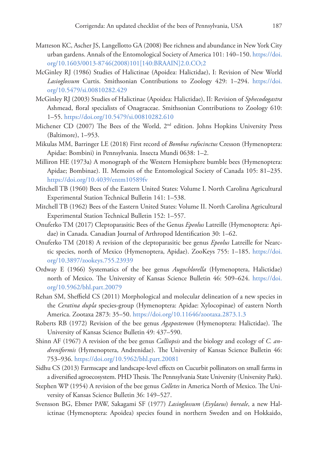- Matteson KC, Ascher JS, Langellotto GA (2008) Bee richness and abundance in New York City urban gardens. Annals of the Entomological Society of America 101: 140–150. [https://doi.](https://doi.org/10.1603/0013-8746(2008)101%5B140:BRAAIN%5D2.0.CO;2) [org/10.1603/0013-8746\(2008\)101\[140:BRAAIN\]2.0.CO;2](https://doi.org/10.1603/0013-8746(2008)101%5B140:BRAAIN%5D2.0.CO;2)
- McGinley RJ (1986) Studies of Halictinae (Apoidea: Halictidae), I: Revision of New World *Lasioglossum* Curtis. Smithsonian Contributions to Zoology 429: 1–294. [https://doi.](https://doi.org/10.5479/si.00810282.429) [org/10.5479/si.00810282.429](https://doi.org/10.5479/si.00810282.429)
- McGinley RJ (2003) Studies of Halictinae (Apoidea: Halictidae), II: Revision of *Sphecodogastra* Ashmead, floral specialists of Onagraceae. Smithsonian Contributions to Zoology 610: 1–55.<https://doi.org/10.5479/si.00810282.610>
- Michener CD (2007) The Bees of the World,  $2<sup>nd</sup>$  edition. Johns Hopkins University Press (Baltimore), 1–953.
- Mikulas MM, Barringer LE (2018) First record of *Bombus rufocinctus* Cresson (Hymenoptera: Apidae: Bombini) in Pennsylvania. Insecta Mundi 0638: 1–2.
- Milliron HE (1973a) A monograph of the Western Hemisphere bumble bees (Hymenoptera: Apidae; Bombinae). II. Memoirs of the Entomological Society of Canada 105: 81–235. <https://doi.org/10.4039/entm10589fv>
- Mitchell TB (1960) Bees of the Eastern United States: Volume I. North Carolina Agricultural Experimental Station Technical Bulletin 141: 1–538.
- Mitchell TB (1962) Bees of the Eastern United States: Volume II. North Carolina Agricultural Experimental Station Technical Bulletin 152: 1–557.
- Onuferko TM (2017) Cleptoparasitic Bees of the Genus *Epeolus* Latreille (Hymenoptera: Apidae) in Canada. Canadian Journal of Arthropod Identification 30: 1–62.
- Onuferko TM (2018) A revision of the cleptoparasitic bee genus *Epeolus* Latreille for Nearctic species, north of Mexico (Hymenoptera, Apidae). ZooKeys 755: 1–185. [https://doi.](https://doi.org/10.3897/zookeys.755.23939) [org/10.3897/zookeys.755.23939](https://doi.org/10.3897/zookeys.755.23939)
- Ordway E (1966) Systematics of the bee genus *Augochlorella* (Hymenoptera, Halictidae) north of Mexico. The University of Kansas Science Bulletin 46: 509–624. [https://doi.](https://doi.org/10.5962/bhl.part.20079) [org/10.5962/bhl.part.20079](https://doi.org/10.5962/bhl.part.20079)
- Rehan SM, Sheffield CS (2011) Morphological and molecular delineation of a new species in the *Ceratina dupla* species-group (Hymenoptera: Apidae: Xylocopinae) of eastern North America. Zootaxa 2873: 35–50.<https://doi.org/10.11646/zootaxa.2873.1.3>
- Roberts RB (1972) Revision of the bee genus *Agapostemon* (Hymenoptera: Halictidae). The University of Kansas Science Bulletin 49: 437–590.
- Shinn AF (1967) A revision of the bee genus *Calliopsis* and the biology and ecology of *C. andreniformis* (Hymenoptera, Andrenidae). The University of Kansas Science Bulletin 46: 753–936.<https://doi.org/10.5962/bhl.part.20081>
- Sidhu CS (2013) Farmscape and landscape-level effects on Cucurbit pollinators on small farms in a diversified agroecosystem. PHD Thesis. The Pennsylvania State University (University Park).
- Stephen WP (1954) A revision of the bee genus *Colletes* in America North of Mexico. The University of Kansas Science Bulletin 36: 149–527.
- Svensson BG, Ebmer PAW, Sakagami SF (1977) *Lasioglossum* (*Evylaeus*) *boreale*, a new Halictinae (Hymenoptera: Apoidea) species found in northern Sweden and on Hokkaido,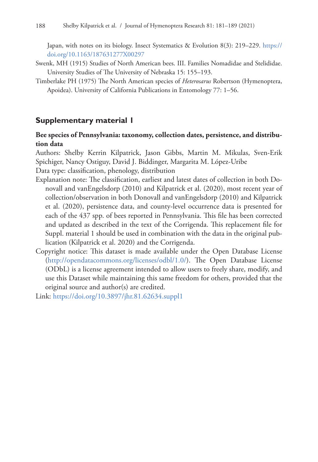Japan, with notes on its biology. Insect Systematics & Evolution 8(3): 219–229. [https://](https://doi.org/10.1163/187631277X00297) [doi.org/10.1163/187631277X00297](https://doi.org/10.1163/187631277X00297)

- Swenk, MH (1915) Studies of North American bees. III. Families Nomadidae and Stelididae. University Studies of The University of Nebraska 15: 155–193.
- Timberlake PH (1975) The North American species of *Heterosarus* Robertson (Hymenoptera, Apoidea). University of California Publications in Entomology 77: 1–56.

## **Supplementary material 1**

### **Bee species of Pennsylvania: taxonomy, collection dates, persistence, and distribution data**

Authors: Shelby Kerrin Kilpatrick, Jason Gibbs, Martin M. Mikulas, Sven-Erik Spichiger, Nancy Ostiguy, David J. Biddinger, Margarita M. López-Uribe Data type: classification, phenology, distribution

- Explanation note: The classification, earliest and latest dates of collection in both Donovall and vanEngelsdorp (2010) and Kilpatrick et al. (2020), most recent year of collection/observation in both Donovall and vanEngelsdorp (2010) and Kilpatrick et al. (2020), persistence data, and county-level occurrence data is presented for each of the 437 spp. of bees reported in Pennsylvania. This file has been corrected and updated as described in the text of the Corrigenda. This replacement file for Suppl. material 1 should be used in combination with the data in the original publication (Kilpatrick et al. 2020) and the Corrigenda.
- Copyright notice: This dataset is made available under the Open Database License [\(http://opendatacommons.org/licenses/odbl/1.0/](http://opendatacommons.org/licenses/odbl/1.0/)). The Open Database License (ODbL) is a license agreement intended to allow users to freely share, modify, and use this Dataset while maintaining this same freedom for others, provided that the original source and author(s) are credited.
- Link: <https://doi.org/10.3897/jhr.81.62634.suppl1>